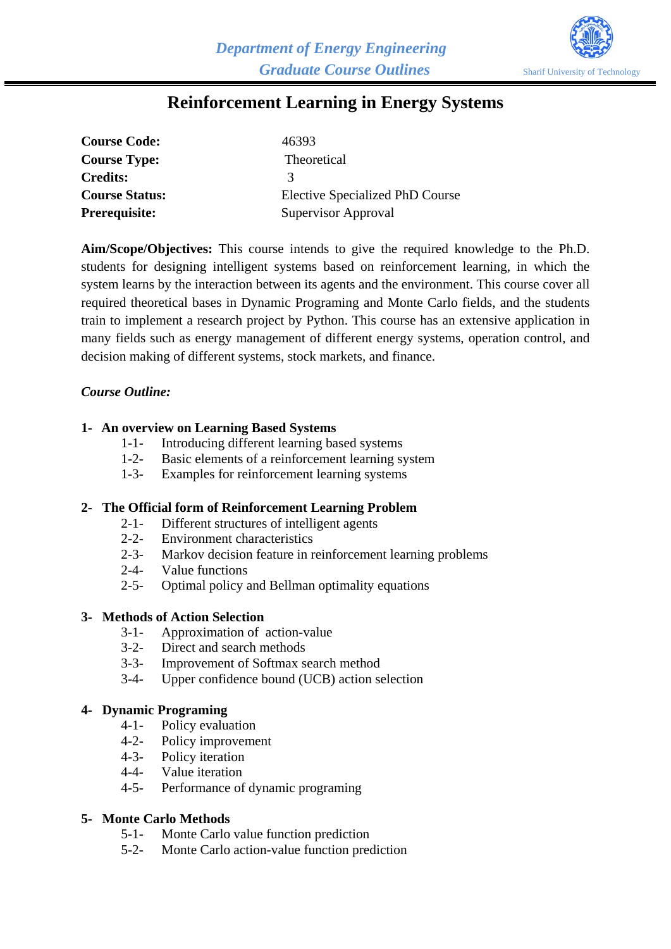

# **Reinforcement Learning in Energy Systems**

| <b>Course Code:</b>   | 46393                                  |
|-----------------------|----------------------------------------|
| <b>Course Type:</b>   | Theoretical                            |
| <b>Credits:</b>       | 3                                      |
| <b>Course Status:</b> | <b>Elective Specialized PhD Course</b> |
| <b>Prerequisite:</b>  | Supervisor Approval                    |

**Aim/Scope/Objectives:** This course intends to give the required knowledge to the Ph.D. students for designing intelligent systems based on reinforcement learning, in which the system learns by the interaction between its agents and the environment. This course cover all required theoretical bases in Dynamic Programing and Monte Carlo fields, and the students train to implement a research project by Python. This course has an extensive application in many fields such as energy management of different energy systems, operation control, and decision making of different systems, stock markets, and finance.

# *Course Outline:*

#### **1- An overview on Learning Based Systems**

- 1-1- Introducing different learning based systems
- 1-2- Basic elements of a reinforcement learning system
- 1-3- Examples for reinforcement learning systems

#### **2- The Official form of Reinforcement Learning Problem**

- 2-1- Different structures of intelligent agents
- 2-2- Environment characteristics
- 2-3- Markov decision feature in reinforcement learning problems
- 2-4- Value functions
- 2-5- Optimal policy and Bellman optimality equations

#### **3- Methods of Action Selection**

- 3-1- Approximation of action-value
- 3-2- Direct and search methods
- 3-3- Improvement of Softmax search method
- 3-4- Upper confidence bound (UCB) action selection

#### **4- Dynamic Programing**

- 4-1- Policy evaluation
- 4-2- Policy improvement
- 4-3- Policy iteration
- 4-4- Value iteration
- 4-5- Performance of dynamic programing

#### **5- Monte Carlo Methods**

- 5-1- Monte Carlo value function prediction
- 5-2- Monte Carlo action-value function prediction